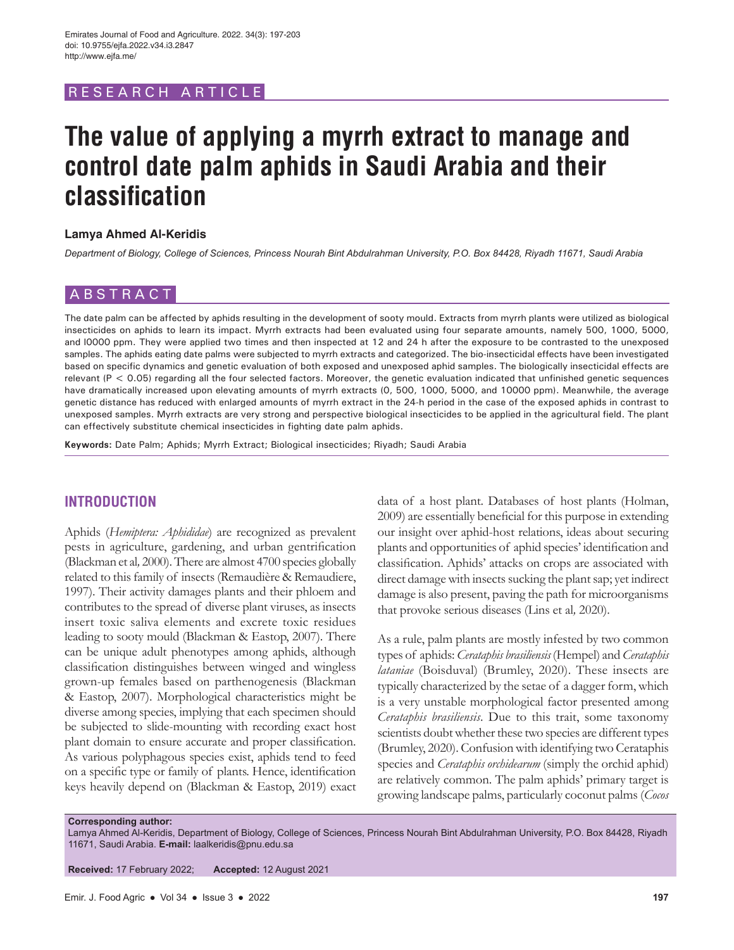# RESEARCH ARTICL

# **The value of applying a myrrh extract to manage and control date palm aphids in Saudi Arabia and their classification**

#### **Lamya Ahmed Al-Keridis**

*Department of Biology, College of Sciences, Princess Nourah Bint Abdulrahman University, P.O. Box 84428, Riyadh 11671, Saudi Arabia*

# ABSTRACT

The date palm can be affected by aphids resulting in the development of sooty mould. Extracts from myrrh plants were utilized as biological insecticides on aphids to learn its impact. Myrrh extracts had been evaluated using four separate amounts, namely 500, 1000, 5000, and l0000 ppm. They were applied two times and then inspected at 12 and 24 h after the exposure to be contrasted to the unexposed samples. The aphids eating date palms were subjected to myrrh extracts and categorized. The bio-insecticidal effects have been investigated based on specific dynamics and genetic evaluation of both exposed and unexposed aphid samples. The biologically insecticidal effects are relevant (P < 0.05) regarding all the four selected factors. Moreover, the genetic evaluation indicated that unfinished genetic sequences have dramatically increased upon elevating amounts of myrrh extracts (0, 500, 1000, 5000, and 10000 ppm). Meanwhile, the average genetic distance has reduced with enlarged amounts of myrrh extract in the 24-h period in the case of the exposed aphids in contrast to unexposed samples. Myrrh extracts are very strong and perspective biological insecticides to be applied in the agricultural field. The plant can effectively substitute chemical insecticides in fighting date palm aphids.

**Keywords:** Date Palm; Aphids; Myrrh Extract; Biological insecticides; Riyadh; Saudi Arabia

# **INTRODUCTION**

Aphids (*Hemiptera: Aphididae*) are recognized as prevalent pests in agriculture, gardening, and urban gentrification (Blackman et al*,* 2000). There are almost 4700 species globally related to this family of insects (Remaudière & Remaudiere, 1997). Their activity damages plants and their phloem and contributes to the spread of diverse plant viruses, as insects insert toxic saliva elements and excrete toxic residues leading to sooty mould (Blackman & Eastop, 2007). There can be unique adult phenotypes among aphids, although classification distinguishes between winged and wingless grown-up females based on parthenogenesis (Blackman & Eastop, 2007). Morphological characteristics might be diverse among species, implying that each specimen should be subjected to slide-mounting with recording exact host plant domain to ensure accurate and proper classification. As various polyphagous species exist, aphids tend to feed on a specific type or family of plants. Hence, identification keys heavily depend on (Blackman & Eastop, 2019) exact

data of a host plant. Databases of host plants (Holman, 2009) are essentially beneficial for this purpose in extending our insight over aphid-host relations, ideas about securing plants and opportunities of aphid species' identification and classification. Aphids' attacks on crops are associated with direct damage with insects sucking the plant sap; yet indirect damage is also present, paving the path for microorganisms that provoke serious diseases (Lins et al*,* 2020).

As a rule, palm plants are mostly infested by two common types of aphids: *Cerataphis brasiliensis* (Hempel) and *Cerataphis lataniae* (Boisduval) (Brumley, 2020). These insects are typically characterized by the setae of a dagger form, which is a very unstable morphological factor presented among *Cerataphis brasiliensis*. Due to this trait, some taxonomy scientists doubt whether these two species are different types (Brumley, 2020). Confusion with identifying two Cerataphis species and *Cerataphis orchidearum* (simply the orchid aphid) are relatively common. The palm aphids' primary target is growing landscape palms, particularly coconut palms (*Cocos* 

#### **Corresponding author:**

Lamya Ahmed Al-Keridis, Department of Biology, College of Sciences, Princess Nourah Bint Abdulrahman University, P.O. Box 84428, Riyadh 11671, Saudi Arabia. **E-mail:** laalkeridis@pnu.edu.sa

**Received:** 17 February 2022; **Accepted:** 12 August 2021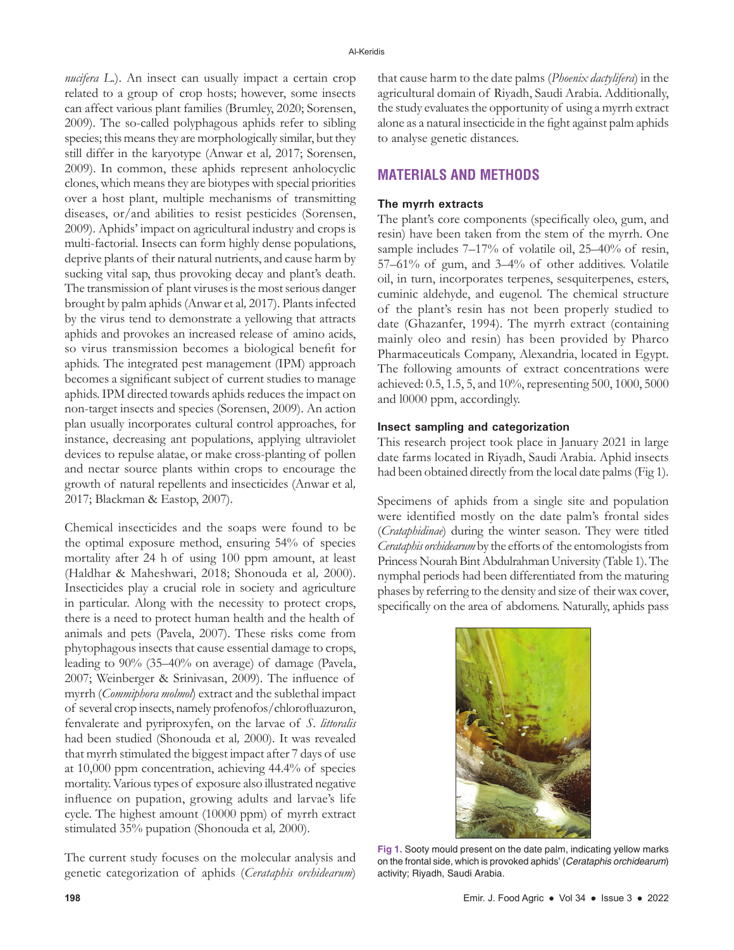*nucifera L*.). An insect can usually impact a certain crop related to a group of crop hosts; however, some insects can affect various plant families (Brumley, 2020; Sorensen, 2009). The so-called polyphagous aphids refer to sibling species; this means they are morphologically similar, but they still differ in the karyotype (Anwar et al*,* 2017; Sorensen, 2009). In common, these aphids represent anholocyclic clones, which means they are biotypes with special priorities over a host plant, multiple mechanisms of transmitting diseases, or/and abilities to resist pesticides (Sorensen, 2009). Aphids' impact on agricultural industry and crops is multi-factorial. Insects can form highly dense populations, deprive plants of their natural nutrients, and cause harm by sucking vital sap, thus provoking decay and plant's death. The transmission of plant viruses is the most serious danger brought by palm aphids (Anwar et al*,* 2017). Plants infected by the virus tend to demonstrate a yellowing that attracts aphids and provokes an increased release of amino acids, so virus transmission becomes a biological benefit for aphids. The integrated pest management (IPM) approach becomes a significant subject of current studies to manage aphids. IPM directed towards aphids reduces the impact on non-target insects and species (Sorensen, 2009). An action plan usually incorporates cultural control approaches, for instance, decreasing ant populations, applying ultraviolet devices to repulse alatae, or make cross-planting of pollen and nectar source plants within crops to encourage the growth of natural repellents and insecticides (Anwar et al*,* 2017; Blackman & Eastop, 2007).

Chemical insecticides and the soaps were found to be the optimal exposure method, ensuring 54% of species mortality after 24 h of using 100 ppm amount, at least (Haldhar & Maheshwari, 2018; Shonouda et al*,* 2000). Insecticides play a crucial role in society and agriculture in particular. Along with the necessity to protect crops, there is a need to protect human health and the health of animals and pets (Pavela, 2007). These risks come from phytophagous insects that cause essential damage to crops, leading to 90% (35–40% on average) of damage (Pavela, 2007; Weinberger & Srinivasan, 2009). The influence of myrrh (*Commiphora molmol*) extract and the sublethal impact of several crop insects, namely profenofos/chlorofluazuron, fenvalerate and pyriproxyfen, on the larvae of *S. littoralis* had been studied (Shonouda et al*,* 2000). It was revealed that myrrh stimulated the biggest impact after 7 days of use at 10,000 ppm concentration, achieving 44.4% of species mortality. Various types of exposure also illustrated negative influence on pupation, growing adults and larvae's life cycle. The highest amount (10000 ppm) of myrrh extract stimulated 35% pupation (Shonouda et al*,* 2000).

The current study focuses on the molecular analysis and genetic categorization of aphids (*Cerataphis orchidearum*)

that cause harm to the date palms (*Phoenix dactylifera*) in the agricultural domain of Riyadh, Saudi Arabia. Additionally, the study evaluates the opportunity of using a myrrh extract alone as a natural insecticide in the fight against palm aphids to analyse genetic distances.

## **MATERIALS AND METHODS**

### **The myrrh extracts**

The plant's core components (specifically oleo, gum, and resin) have been taken from the stem of the myrrh. One sample includes 7–17% of volatile oil, 25–40% of resin, 57–61% of gum, and 3–4% of other additives. Volatile oil, in turn, incorporates terpenes, sesquiterpenes, esters, cuminic aldehyde, and eugenol. The chemical structure of the plant's resin has not been properly studied to date (Ghazanfer, 1994). The myrrh extract (containing mainly oleo and resin) has been provided by Pharco Pharmaceuticals Company, Alexandria, located in Egypt. The following amounts of extract concentrations were achieved: 0.5, 1.5, 5, and 10%, representing 500, 1000, 5000 and l0000 ppm, accordingly.

#### **Insect sampling and categorization**

This research project took place in January 2021 in large date farms located in Riyadh, Saudi Arabia. Aphid insects had been obtained directly from the local date palms (Fig 1).

Specimens of aphids from a single site and population were identified mostly on the date palm's frontal sides (*Crataphidinae*) during the winter season. They were titled *Cerataphis orchidearum* by the efforts of the entomologists from Princess Nourah Bint Abdulrahman University (Table 1). The nymphal periods had been differentiated from the maturing phases by referring to the density and size of their wax cover, specifically on the area of abdomens. Naturally, aphids pass



**Fig 1.** Sooty mould present on the date palm, indicating yellow marks on the frontal side, which is provoked aphids' (*Cerataphis orchidearum*) activity; Riyadh, Saudi Arabia.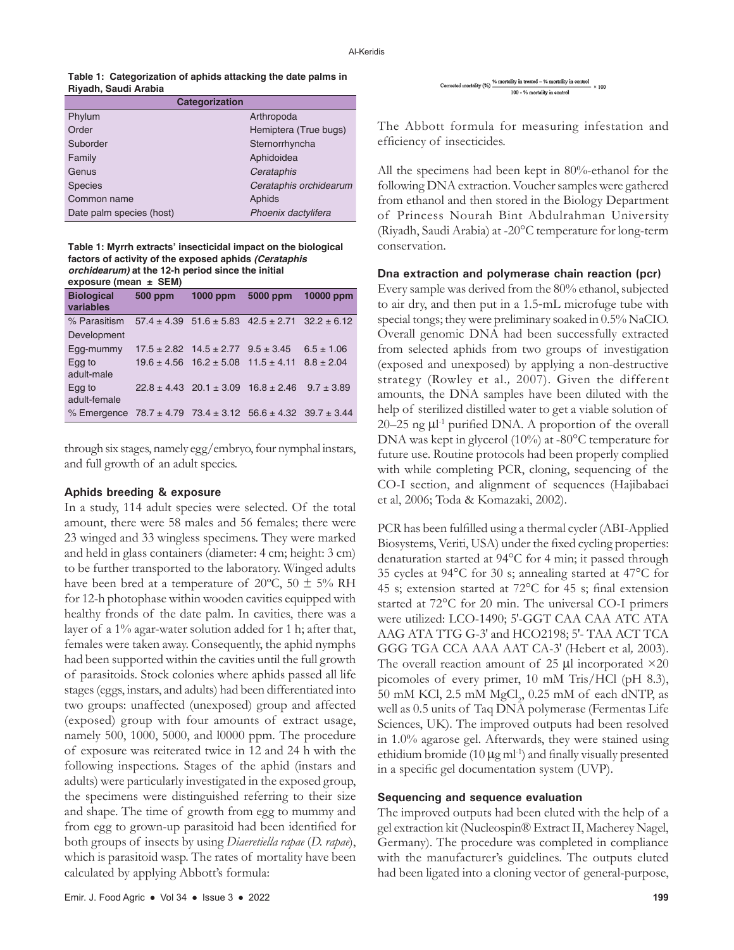| Table 1: Categorization of aphids attacking the date palms in |  |
|---------------------------------------------------------------|--|
| Riyadh, Saudi Arabia                                          |  |

| Categorization           |                        |  |  |  |
|--------------------------|------------------------|--|--|--|
| Phylum                   | Arthropoda             |  |  |  |
| Order                    | Hemiptera (True bugs)  |  |  |  |
| Suborder                 | Sternorrhyncha         |  |  |  |
| Family                   | Aphidoidea             |  |  |  |
| Genus                    | Cerataphis             |  |  |  |
| <b>Species</b>           | Cerataphis orchidearum |  |  |  |
| Common name              | Aphids                 |  |  |  |
| Date palm species (host) | Phoenix dactylifera    |  |  |  |

**Table 1: Myrrh extracts' insecticidal impact on the biological factors of activity of the exposed aphids** *(Cerataphis orchidearum)* **at the 12-h period since the initial** 

| exposure (mean $\pm$ SEM)                                                                             |                |                                                                                                   |                                                                 |                                  |  |  |
|-------------------------------------------------------------------------------------------------------|----------------|---------------------------------------------------------------------------------------------------|-----------------------------------------------------------------|----------------------------------|--|--|
| <b>Biological</b><br>variables                                                                        | <b>500 ppm</b> | 1000 ppm                                                                                          | 5000 ppm                                                        | 10000 ppm                        |  |  |
| % Parasitism<br>Development                                                                           |                |                                                                                                   | $57.4 \pm 4.39$ $51.6 \pm 5.83$ $42.5 \pm 2.71$ $32.2 \pm 6.12$ |                                  |  |  |
| Egg-mummy<br>Egg to<br>adult-male                                                                     |                | $17.5 \pm 2.82$ $14.5 \pm 2.77$ $9.5 \pm 3.45$<br>$19.6 \pm 4.56$ $16.2 \pm 5.08$ $11.5 \pm 4.11$ |                                                                 | $6.5 \pm 1.06$<br>$8.8 \pm 2.04$ |  |  |
| Egg to<br>adult-female<br>% Emergence $78.7 \pm 4.79$ $73.4 \pm 3.12$ $56.6 \pm 4.32$ $39.7 \pm 3.44$ |                | $22.8 \pm 4.43$ $20.1 \pm 3.09$ $16.8 \pm 2.46$                                                   |                                                                 | $9.7 \pm 3.89$                   |  |  |

through six stages, namely egg/embryo, four nymphal instars, and full growth of an adult species.

#### **Aphids breeding & exposure**

In a study, 114 adult species were selected. Of the total amount, there were 58 males and 56 females; there were 23 winged and 33 wingless specimens. They were marked and held in glass containers (diameter: 4 cm; height: 3 cm) to be further transported to the laboratory. Winged adults have been bred at a temperature of 20 $\degree$ C, 50  $\pm$  5% RH for 12-h photophase within wooden cavities equipped with healthy fronds of the date palm. In cavities, there was a layer of a 1% agar-water solution added for 1 h; after that, females were taken away. Consequently, the aphid nymphs had been supported within the cavities until the full growth of parasitoids. Stock colonies where aphids passed all life stages (eggs, instars, and adults) had been differentiated into two groups: unaffected (unexposed) group and affected (exposed) group with four amounts of extract usage, namely 500, 1000, 5000, and l0000 ppm. The procedure of exposure was reiterated twice in 12 and 24 h with the following inspections. Stages of the aphid (instars and adults) were particularly investigated in the exposed group, the specimens were distinguished referring to their size and shape. The time of growth from egg to mummy and from egg to grown-up parasitoid had been identified for both groups of insects by using *Diaeretiella rapae* (*D. rapae*), which is parasitoid wasp. The rates of mortality have been calculated by applying Abbott's formula:

Corrected mortality (%)  $\frac{\% \text{ mortality in treated} - \% \text{ mortality in control}}{}$  $\sim 100$ 100 - % mortality in control

The Abbott formula for measuring infestation and efficiency of insecticides.

All the specimens had been kept in 80%-ethanol for the following DNA extraction. Voucher samples were gathered from ethanol and then stored in the Biology Department of Princess Nourah Bint Abdulrahman University (Riyadh, Saudi Arabia) at -20°C temperature for long-term conservation.

#### **Dna extraction and polymerase chain reaction (pcr)**

Every sample was derived from the 80% ethanol, subjected to air dry, and then put in a 1.5‐mL microfuge tube with special tongs; they were preliminary soaked in 0.5% NaCIO. Overall genomic DNA had been successfully extracted from selected aphids from two groups of investigation (exposed and unexposed) by applying a non-destructive strategy (Rowley et al.*,* 2007). Given the different amounts, the DNA samples have been diluted with the help of sterilized distilled water to get a viable solution of 20–25 ng μl -1 purified DNA. A proportion of the overall DNA was kept in glycerol (10%) at -80°C temperature for future use. Routine protocols had been properly complied with while completing PCR, cloning, sequencing of the CO-I section, and alignment of sequences (Hajibabaei et al, 2006; Toda & Komazaki, 2002).

PCR has been fulfilled using a thermal cycler (ABI-Applied Biosystems, Veriti, USA) under the fixed cycling properties: denaturation started at 94°C for 4 min; it passed through 35 cycles at 94°C for 30 s; annealing started at 47°C for 45 s; extension started at 72°C for 45 s; final extension started at 72°C for 20 min. The universal CO-I primers were utilized: LCO-1490; 5′-GGT CAA CAA ATC ATA AAG ATA TTG G-3′ and HCO2198; 5′- TAA ACT TCA GGG TGA CCA AAA AAT CA-3′ (Hebert et al*,* 2003). The overall reaction amount of 25  $\mu$ l incorporated ×20 picomoles of every primer, 10 mM Tris/HCl (pH 8.3),  $50$  mM KCl,  $2.5$  mM  $\mathrm{MgCl}_2$   $0.25$  mM of each dNTP, as well as 0.5 units of Taq DNA polymerase (Fermentas Life Sciences, UK). The improved outputs had been resolved in 1.0% agarose gel. Afterwards, they were stained using ethidium bromide (10  $\mu$ g ml<sup>-1</sup>) and finally visually presented in a specific gel documentation system (UVP).

#### **Sequencing and sequence evaluation**

The improved outputs had been eluted with the help of a gel extraction kit (Nucleospin® Extract II, Macherey Nagel, Germany). The procedure was completed in compliance with the manufacturer's guidelines. The outputs eluted had been ligated into a cloning vector of general-purpose,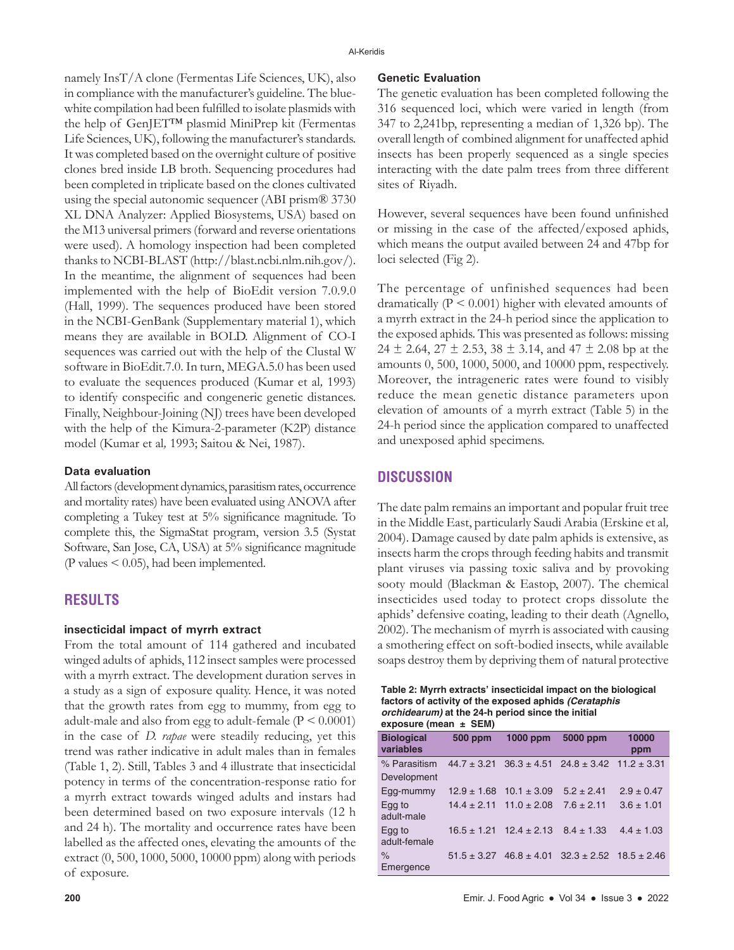namely InsT/A clone (Fermentas Life Sciences, UK), also in compliance with the manufacturer's guideline. The bluewhite compilation had been fulfilled to isolate plasmids with the help of GenJET™ plasmid MiniPrep kit (Fermentas Life Sciences, UK), following the manufacturer's standards. It was completed based on the overnight culture of positive clones bred inside LB broth. Sequencing procedures had been completed in triplicate based on the clones cultivated using the special autonomic sequencer (ABI prism® 3730 XL DNA Analyzer: Applied Biosystems, USA) based on the M13 universal primers (forward and reverse orientations were used). A homology inspection had been completed thanks to NCBI-BLAST (http://blast.ncbi.nlm.nih.gov/). In the meantime, the alignment of sequences had been implemented with the help of BioEdit version 7.0.9.0 (Hall, 1999). The sequences produced have been stored in the NCBI-GenBank (Supplementary material 1), which means they are available in BOLD. Alignment of CO-I sequences was carried out with the help of the Clustal W software in BioEdit.7.0. In turn, MEGA.5.0 has been used to evaluate the sequences produced (Kumar et al*,* 1993) to identify conspecific and congeneric genetic distances. Finally, Neighbour-Joining (NJ) trees have been developed with the help of the Kimura-2-parameter (K2P) distance model (Kumar et al*,* 1993; Saitou & Nei, 1987).

#### **Data evaluation**

All factors (development dynamics, parasitism rates, occurrence and mortality rates) have been evaluated using ANOVA after completing a Tukey test at 5% significance magnitude. To complete this, the SigmaStat program, version 3.5 (Systat Software, San Jose, CA, USA) at 5% significance magnitude (P values  $\leq$  0.05), had been implemented.

## **RESULTS**

#### **insecticidal impact of myrrh extract**

From the total amount of 114 gathered and incubated winged adults of aphids, 112 insect samples were processed with a myrrh extract. The development duration serves in a study as a sign of exposure quality. Hence, it was noted that the growth rates from egg to mummy, from egg to adult-male and also from egg to adult-female  $(P < 0.0001)$ in the case of *D. rapae* were steadily reducing, yet this trend was rather indicative in adult males than in females (Table 1, 2). Still, Tables 3 and 4 illustrate that insecticidal potency in terms of the concentration-response ratio for a myrrh extract towards winged adults and instars had been determined based on two exposure intervals (12 h and 24 h). The mortality and occurrence rates have been labelled as the affected ones, elevating the amounts of the extract (0, 500, 1000, 5000, 10000 ppm) along with periods of exposure.

#### **Genetic Evaluation**

The genetic evaluation has been completed following the 316 sequenced loci, which were varied in length (from 347 to 2,241bp, representing a median of 1,326 bp). The overall length of combined alignment for unaffected aphid insects has been properly sequenced as a single species interacting with the date palm trees from three different sites of Riyadh.

However, several sequences have been found unfinished or missing in the case of the affected/exposed aphids, which means the output availed between 24 and 47bp for loci selected (Fig 2).

The percentage of unfinished sequences had been dramatically  $(P < 0.001)$  higher with elevated amounts of a myrrh extract in the 24-h period since the application to the exposed aphids. This was presented as follows: missing 24  $\pm$  2.64, 27  $\pm$  2.53, 38  $\pm$  3.14, and 47  $\pm$  2.08 bp at the amounts 0, 500, 1000, 5000, and 10000 ppm, respectively. Moreover, the intrageneric rates were found to visibly reduce the mean genetic distance parameters upon elevation of amounts of a myrrh extract (Table 5) in the 24-h period since the application compared to unaffected and unexposed aphid specimens.

## **DISCUSSION**

The date palm remains an important and popular fruit tree in the Middle East, particularly Saudi Arabia (Erskine et al*,* 2004). Damage caused by date palm aphids is extensive, as insects harm the crops through feeding habits and transmit plant viruses via passing toxic saliva and by provoking sooty mould (Blackman & Eastop, 2007). The chemical insecticides used today to protect crops dissolute the aphids' defensive coating, leading to their death (Agnello, 2002). The mechanism of myrrh is associated with causing a smothering effect on soft-bodied insects, while available soaps destroy them by depriving them of natural protective

**Table 2: Myrrh extracts' insecticidal impact on the biological factors of activity of the exposed aphids** *(Cerataphis orchidearum)* **at the 24-h period since the initial exposure (mean ± SEM)**

| CAUUSUIC (IIICAII I JEIVI)     |                 |                                                |                                                                 |                |
|--------------------------------|-----------------|------------------------------------------------|-----------------------------------------------------------------|----------------|
| <b>Biological</b><br>variables | <b>500 ppm</b>  | 1000 ppm                                       | 5000 ppm                                                        | 10000<br>ppm   |
| % Parasitism                   |                 |                                                | $44.7 \pm 3.21$ $36.3 \pm 4.51$ $24.8 \pm 3.42$ $11.2 \pm 3.31$ |                |
| Development                    |                 |                                                |                                                                 |                |
| Egg-mummy                      | $12.9 \pm 1.68$ | $10.1 \pm 3.09$                                | $5.2 \pm 2.41$                                                  | $2.9 \pm 0.47$ |
| Egg to<br>adult-male           |                 | $14.4 \pm 2.11$ $11.0 \pm 2.08$                | $7.6 \pm 2.11$                                                  | $3.6 \pm 1.01$ |
| Egg to<br>adult-female         |                 | $16.5 \pm 1.21$ $12.4 \pm 2.13$ $8.4 \pm 1.33$ |                                                                 | $4.4 \pm 1.03$ |
| $\%$<br>Emergence              |                 |                                                | $51.5 \pm 3.27$ 46.8 $\pm$ 4.01 32.3 $\pm$ 2.52 18.5 $\pm$ 2.46 |                |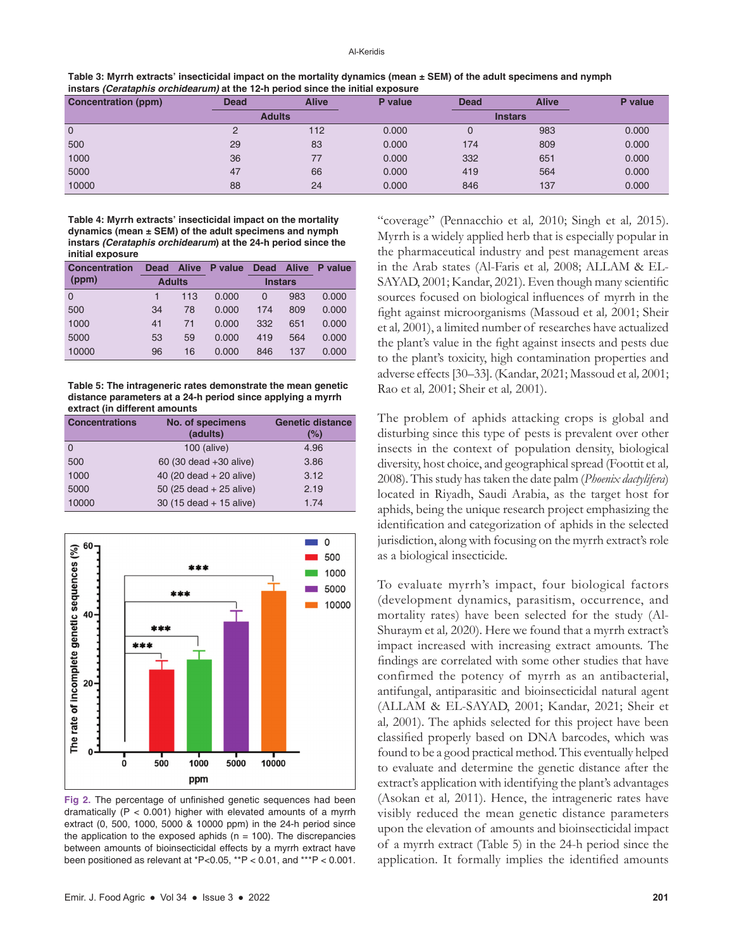| Table 3: Myrrh extracts' insecticidal impact on the mortality dynamics (mean $\pm$ SEM) of the adult specimens and nymph |
|--------------------------------------------------------------------------------------------------------------------------|
| instars <i>(Cerataphis orchidearum)</i> at the 12-h period since the initial exposure                                    |

| <b>Concentration (ppm)</b> | <b>Dead</b> | <b>Alive</b>  | P value | <b>Dead</b> | <b>Alive</b>   | P value |
|----------------------------|-------------|---------------|---------|-------------|----------------|---------|
|                            |             | <b>Adults</b> |         |             | <b>Instars</b> |         |
| $\mathbf 0$                | ⌒           | 112           | 0.000   | U           | 983            | 0.000   |
| 500                        | 29          | 83            | 0.000   | 174         | 809            | 0.000   |
| 1000                       | 36          |               | 0.000   | 332         | 651            | 0.000   |
| 5000                       | 47          | 66            | 0.000   | 419         | 564            | 0.000   |
| 10000                      | 88          | 24            | 0.000   | 846         | 137            | 0.000   |

**Table 4: Myrrh extracts' insecticidal impact on the mortality dynamics (mean ± SEM) of the adult specimens and nymph instars** *(Cerataphis orchidearum***) at the 24-h period since the initial exposure**

| <b>Concentration</b> | <b>Dead</b>   | <b>Alive</b> | P value | <b>Dead</b>    | <b>Alive</b> | P value |
|----------------------|---------------|--------------|---------|----------------|--------------|---------|
| (ppm)                | <b>Adults</b> |              |         | <b>Instars</b> |              |         |
| $\Omega$             |               | 113          | 0.000   | $\Omega$       | 983          | 0.000   |
| 500                  | 34            | 78           | 0.000   | 174            | 809          | 0.000   |
| 1000                 | 41            | 71           | 0.000   | 332            | 651          | 0.000   |
| 5000                 | 53            | 59           | 0.000   | 419            | 564          | 0.000   |
| 10000                | 96            | 16           | 0.000   | 846            | 137          | 0.000   |

**Table 5: The intrageneric rates demonstrate the mean genetic distance parameters at a 24-h period since applying a myrrh extract (in different amounts**

| <b>Concentrations</b> | <b>No. of specimens</b>   | <b>Genetic distance</b> |  |
|-----------------------|---------------------------|-------------------------|--|
|                       | (adults)                  | (%)                     |  |
| $\Omega$              | 100 (alive)               | 4.96                    |  |
| 500                   | 60 (30 dead +30 alive)    | 3.86                    |  |
| 1000                  | 40 (20 dead $+$ 20 alive) | 3.12                    |  |
| 5000                  | 50 (25 dead $+$ 25 alive) | 2.19                    |  |
| 10000                 | $30(15 dead + 15 alive)$  | 1.74                    |  |



**Fig 2.** The percentage of unfinished genetic sequences had been dramatically (P < 0.001) higher with elevated amounts of a myrrh extract (0, 500, 1000, 5000 & 10000 ppm) in the 24-h period since the application to the exposed aphids ( $n = 100$ ). The discrepancies between amounts of bioinsecticidal effects by a myrrh extract have been positioned as relevant at \*P<0.05, \*\*P < 0.01, and \*\*\*P < 0.001.

"coverage" (Pennacchio et al*,* 2010; Singh et al*,* 2015). Myrrh is a widely applied herb that is especially popular in the pharmaceutical industry and pest management areas in the Arab states (Al-Faris et al*,* 2008; ALLAM & EL-SAYAD, 2001; Kandar, 2021). Even though many scientific sources focused on biological influences of myrrh in the fight against microorganisms (Massoud et al*,* 2001; Sheir et al*,* 2001), a limited number of researches have actualized the plant's value in the fight against insects and pests due to the plant's toxicity, high contamination properties and adverse effects [30–33]. (Kandar, 2021; Massoud et al*,* 2001; Rao et al*,* 2001; Sheir et al*,* 2001).

The problem of aphids attacking crops is global and disturbing since this type of pests is prevalent over other insects in the context of population density, biological diversity, host choice, and geographical spread (Foottit et al*,* 2008). This study has taken the date palm (*Phoenix dactylifera*) located in Riyadh, Saudi Arabia, as the target host for aphids, being the unique research project emphasizing the identification and categorization of aphids in the selected jurisdiction, along with focusing on the myrrh extract's role as a biological insecticide.

To evaluate myrrh's impact, four biological factors (development dynamics, parasitism, occurrence, and mortality rates) have been selected for the study (Al-Shuraym et al*,* 2020). Here we found that a myrrh extract's impact increased with increasing extract amounts. The findings are correlated with some other studies that have confirmed the potency of myrrh as an antibacterial, antifungal, antiparasitic and bioinsecticidal natural agent (ALLAM & EL-SAYAD, 2001; Kandar, 2021; Sheir et al*,* 2001). The aphids selected for this project have been classified properly based on DNA barcodes, which was found to be a good practical method. This eventually helped to evaluate and determine the genetic distance after the extract's application with identifying the plant's advantages (Asokan et al*,* 2011). Hence, the intrageneric rates have visibly reduced the mean genetic distance parameters upon the elevation of amounts and bioinsecticidal impact of a myrrh extract (Table 5) in the 24-h period since the application. It formally implies the identified amounts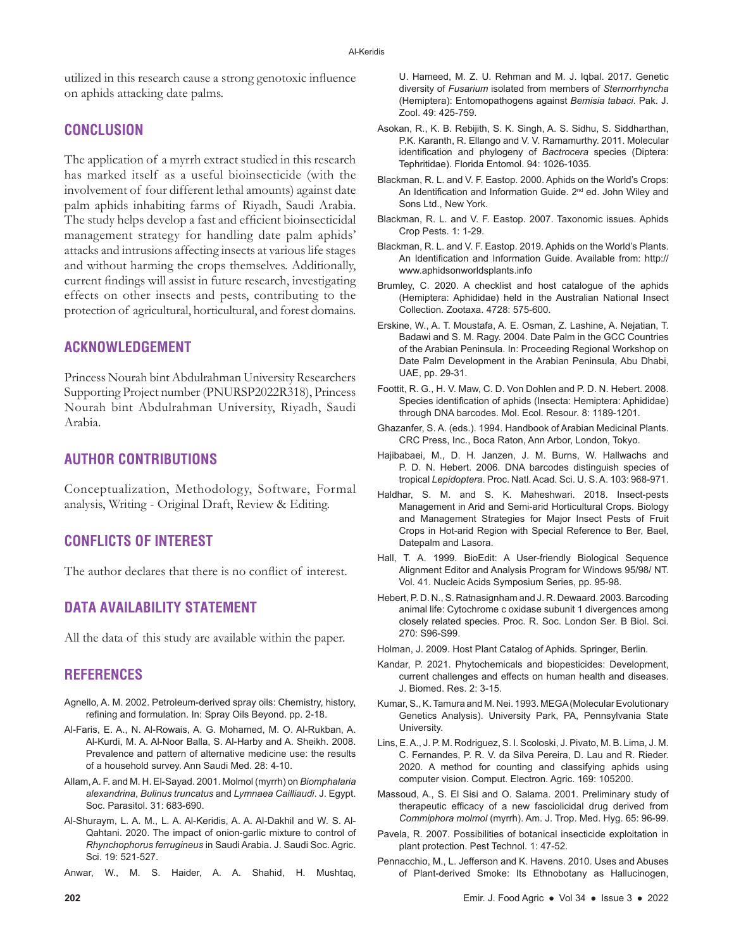utilized in this research cause a strong genotoxic influence on aphids attacking date palms.

## **CONCLUSION**

The application of a myrrh extract studied in this research has marked itself as a useful bioinsecticide (with the involvement of four different lethal amounts) against date palm aphids inhabiting farms of Riyadh, Saudi Arabia. The study helps develop a fast and efficient bioinsecticidal management strategy for handling date palm aphids' attacks and intrusions affecting insects at various life stages and without harming the crops themselves. Additionally, current findings will assist in future research, investigating effects on other insects and pests, contributing to the protection of agricultural, horticultural, and forest domains.

## **ACKNOWLEDGEMENT**

Princess Nourah bint Abdulrahman University Researchers Supporting Project number (PNURSP2022R318), Princess Nourah bint Abdulrahman University, Riyadh, Saudi Arabia.

# **AUTHOR CONTRIBUTIONS**

Conceptualization, Methodology, Software, Formal analysis, Writing - Original Draft, Review & Editing.

# **CONFLICTS OF INTEREST**

The author declares that there is no conflict of interest.

# **DATA AVAILABILITY STATEMENT**

All the data of this study are available within the paper.

## **REFERENCES**

- Agnello, A. M. 2002. Petroleum-derived spray oils: Chemistry, history, refining and formulation. In: Spray Oils Beyond. pp. 2-18.
- Al-Faris, E. A., N. Al-Rowais, A. G. Mohamed, M. O. Al-Rukban, A. Al-Kurdi, M. A. Al-Noor Balla, S. Al-Harby and A. Sheikh. 2008. Prevalence and pattern of alternative medicine use: the results of a household survey. Ann Saudi Med. 28: 4-10.
- Allam, A. F. and M. H. El-Sayad. 2001. Molmol (myrrh) on *Biomphalaria alexandrina*, *Bulinus truncatus* and *Lymnaea Cailliaudi*. J. Egypt. Soc. Parasitol. 31: 683-690.
- Al-Shuraym, L. A. M., L. A. Al-Keridis, A. A. Al-Dakhil and W. S. Al-Qahtani. 2020. The impact of onion-garlic mixture to control of *Rhynchophorus ferrugineus* in Saudi Arabia. J. Saudi Soc. Agric. Sci. 19: 521-527.
- Anwar, W., M. S. Haider, A. A. Shahid, H. Mushtaq,

U. Hameed, M. Z. U. Rehman and M. J. Iqbal. 2017. Genetic diversity of *Fusarium* isolated from members of *Sternorrhyncha*  (Hemiptera): Entomopathogens against *Bemisia tabaci*. Pak. J. Zool. 49: 425-759.

- Asokan, R., K. B. Rebijith, S. K. Singh, A. S. Sidhu, S. Siddharthan, P.K. Karanth, R. Ellango and V. V. Ramamurthy. 2011. Molecular identification and phylogeny of *Bactrocera* species (Diptera: Tephritidae). Florida Entomol. 94: 1026-1035.
- Blackman, R. L. and V. F. Eastop. 2000. Aphids on the World's Crops: An Identification and Information Guide. 2<sup>nd</sup> ed. John Wiley and Sons Ltd., New York.
- Blackman, R. L. and V. F. Eastop. 2007. Taxonomic issues. Aphids Crop Pests. 1: 1-29.
- Blackman, R. L. and V. F. Eastop. 2019. Aphids on the World's Plants. An Identification and Information Guide. Available from: http:// www.aphidsonworldsplants.info
- Brumley, C. 2020. A checklist and host catalogue of the aphids (Hemiptera: Aphididae) held in the Australian National Insect Collection. Zootaxa. 4728: 575-600.
- Erskine, W., A. T. Moustafa, A. E. Osman, Z. Lashine, A. Nejatian, T. Badawi and S. M. Ragy. 2004. Date Palm in the GCC Countries of the Arabian Peninsula. In: Proceeding Regional Workshop on Date Palm Development in the Arabian Peninsula, Abu Dhabi, UAE, pp. 29-31.
- Foottit, R. G., H. V. Maw, C. D. Von Dohlen and P. D. N. Hebert. 2008. Species identification of aphids (Insecta: Hemiptera: Aphididae) through DNA barcodes. Mol. Ecol. Resour. 8: 1189-1201.
- Ghazanfer, S. A. (eds.). 1994. Handbook of Arabian Medicinal Plants. CRC Press, Inc., Boca Raton, Ann Arbor, London, Tokyo.
- Hajibabaei, M., D. H. Janzen, J. M. Burns, W. Hallwachs and P. D. N. Hebert. 2006. DNA barcodes distinguish species of tropical *Lepidoptera*. Proc. Natl. Acad. Sci. U. S. A. 103: 968-971.
- Haldhar, S. M. and S. K. Maheshwari. 2018. Insect-pests Management in Arid and Semi-arid Horticultural Crops. Biology and Management Strategies for Major Insect Pests of Fruit Crops in Hot-arid Region with Special Reference to Ber, Bael, Datepalm and Lasora.
- Hall, T. A. 1999. BioEdit: A User-friendly Biological Sequence Alignment Editor and Analysis Program for Windows 95/98/ NT. Vol. 41. Nucleic Acids Symposium Series, pp. 95-98.
- Hebert, P. D. N., S. Ratnasignham and J. R. Dewaard. 2003. Barcoding animal life: Cytochrome c oxidase subunit 1 divergences among closely related species. Proc. R. Soc. London Ser. B Biol. Sci. 270: S96-S99.
- Holman, J. 2009. Host Plant Catalog of Aphids. Springer, Berlin.
- Kandar, P. 2021. Phytochemicals and biopesticides: Development, current challenges and effects on human health and diseases. J. Biomed. Res. 2: 3-15.
- Kumar, S., K. Tamura and M. Nei. 1993. MEGA (Molecular Evolutionary Genetics Analysis). University Park, PA, Pennsylvania State University.
- Lins, E. A., J. P. M. Rodriguez, S. I. Scoloski, J. Pivato, M. B. Lima, J. M. C. Fernandes, P. R. V. da Silva Pereira, D. Lau and R. Rieder. 2020. A method for counting and classifying aphids using computer vision. Comput. Electron. Agric. 169: 105200.
- Massoud, A., S. El Sisi and O. Salama. 2001. Preliminary study of therapeutic efficacy of a new fasciolicidal drug derived from *Commiphora molmol* (myrrh). Am. J. Trop. Med. Hyg. 65: 96-99.
- Pavela, R. 2007. Possibilities of botanical insecticide exploitation in plant protection. Pest Technol. 1: 47-52.
- Pennacchio, M., L. Jefferson and K. Havens. 2010. Uses and Abuses of Plant-derived Smoke: Its Ethnobotany as Hallucinogen,